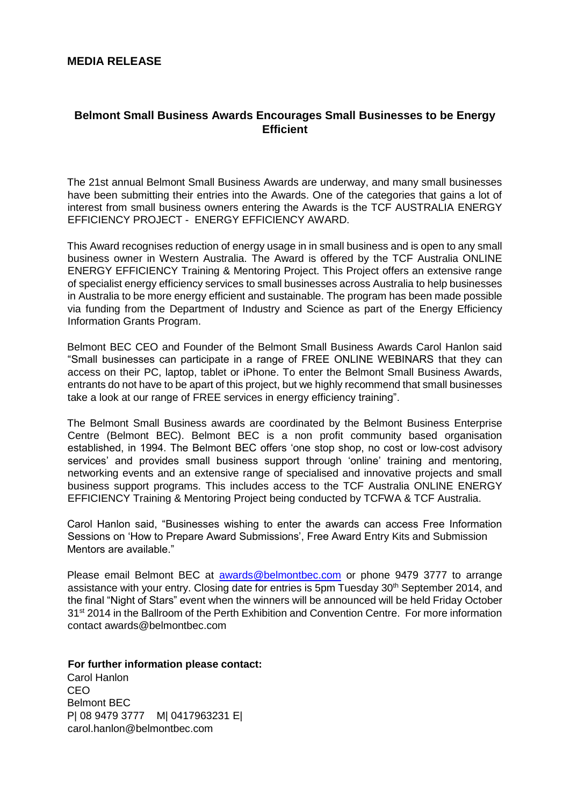## **MEDIA RELEASE**

## **Belmont Small Business Awards Encourages Small Businesses to be Energy Efficient**

The 21st annual Belmont Small Business Awards are underway, and many small businesses have been submitting their entries into the Awards. One of the categories that gains a lot of interest from small business owners entering the Awards is the TCF AUSTRALIA ENERGY EFFICIENCY PROJECT - ENERGY EFFICIENCY AWARD.

This Award recognises reduction of energy usage in in small business and is open to any small business owner in Western Australia. The Award is offered by the TCF Australia ONLINE ENERGY EFFICIENCY Training & Mentoring Project. This Project offers an extensive range of specialist energy efficiency services to small businesses across Australia to help businesses in Australia to be more energy efficient and sustainable. The program has been made possible via funding from the Department of Industry and Science as part of the Energy Efficiency Information Grants Program.

Belmont BEC CEO and Founder of the Belmont Small Business Awards Carol Hanlon said "Small businesses can participate in a range of FREE ONLINE WEBINARS that they can access on their PC, laptop, tablet or iPhone. To enter the Belmont Small Business Awards, entrants do not have to be apart of this project, but we highly recommend that small businesses take a look at our range of FREE services in energy efficiency training".

The Belmont Small Business awards are coordinated by the Belmont Business Enterprise Centre (Belmont BEC). Belmont BEC is a non profit community based organisation established, in 1994. The Belmont BEC offers 'one stop shop, no cost or low-cost advisory services' and provides small business support through 'online' training and mentoring, networking events and an extensive range of specialised and innovative projects and small business support programs. This includes access to the TCF Australia ONLINE ENERGY EFFICIENCY Training & Mentoring Project being conducted by TCFWA & TCF Australia.

Carol Hanlon said, "Businesses wishing to enter the awards can access Free Information Sessions on 'How to Prepare Award Submissions', Free Award Entry Kits and Submission Mentors are available."

Please email Belmont BEC at **awards@belmontbec.com** or phone 9479 3777 to arrange assistance with your entry. Closing date for entries is 5pm Tuesday 30<sup>th</sup> September 2014, and the final "Night of Stars" event when the winners will be announced will be held Friday October 31<sup>st</sup> 2014 in the Ballroom of the Perth Exhibition and Convention Centre. For more information contact awards@belmontbec.com

**For further information please contact:**  Carol Hanlon CEO Belmont BEC P| 08 9479 3777 M| 0417963231 E| carol.hanlon@belmontbec.com